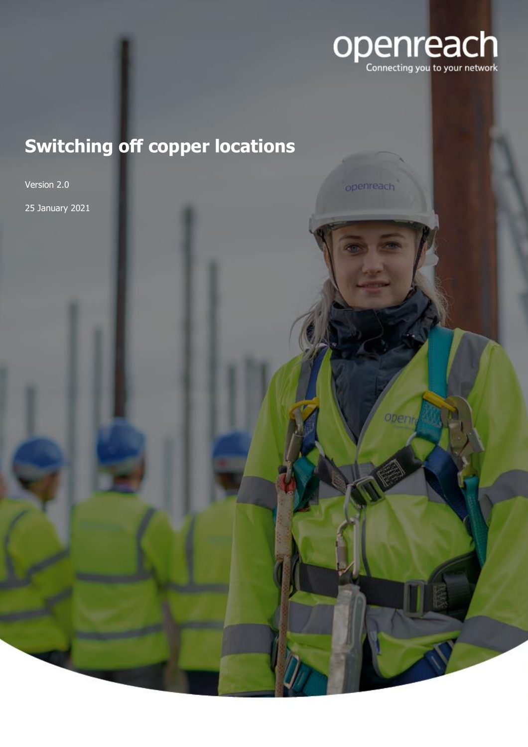

# **Switching off copper locations**

Version 2.0 25 January 2021

openreach

*Obervi*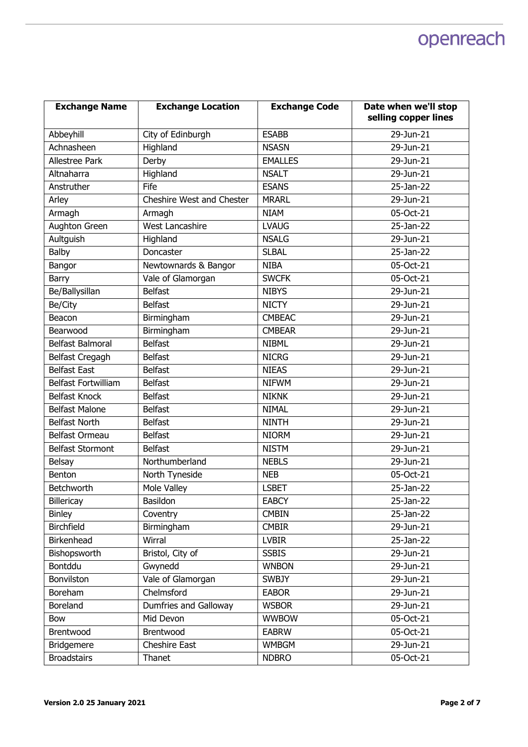| <b>Exchange Name</b>       | <b>Exchange Location</b>  | <b>Exchange Code</b> | Date when we'll stop<br>selling copper lines |
|----------------------------|---------------------------|----------------------|----------------------------------------------|
| Abbeyhill                  | City of Edinburgh         | <b>ESABB</b>         | 29-Jun-21                                    |
| Achnasheen                 | Highland                  | <b>NSASN</b>         | 29-Jun-21                                    |
| <b>Allestree Park</b>      | Derby                     | <b>EMALLES</b>       | 29-Jun-21                                    |
| Altnaharra                 | Highland                  | <b>NSALT</b>         | 29-Jun-21                                    |
| Anstruther                 | Fife                      | <b>ESANS</b>         | 25-Jan-22                                    |
| Arley                      | Cheshire West and Chester | <b>MRARL</b>         | 29-Jun-21                                    |
| Armagh                     | Armagh                    | <b>NIAM</b>          | 05-Oct-21                                    |
| <b>Aughton Green</b>       | <b>West Lancashire</b>    | <b>LVAUG</b>         | 25-Jan-22                                    |
| Aultguish                  | Highland                  | <b>NSALG</b>         | 29-Jun-21                                    |
| Balby                      | Doncaster                 | <b>SLBAL</b>         | 25-Jan-22                                    |
| Bangor                     | Newtownards & Bangor      | <b>NIBA</b>          | 05-Oct-21                                    |
| Barry                      | Vale of Glamorgan         | <b>SWCFK</b>         | 05-Oct-21                                    |
| Be/Ballysillan             | <b>Belfast</b>            | <b>NIBYS</b>         | 29-Jun-21                                    |
| Be/City                    | <b>Belfast</b>            | <b>NICTY</b>         | 29-Jun-21                                    |
| Beacon                     | Birmingham                | <b>CMBEAC</b>        | 29-Jun-21                                    |
| Bearwood                   | Birmingham                | <b>CMBEAR</b>        | 29-Jun-21                                    |
| <b>Belfast Balmoral</b>    | <b>Belfast</b>            | <b>NIBML</b>         | 29-Jun-21                                    |
| Belfast Cregagh            | <b>Belfast</b>            | <b>NICRG</b>         | 29-Jun-21                                    |
| <b>Belfast East</b>        | <b>Belfast</b>            | <b>NIEAS</b>         | 29-Jun-21                                    |
| <b>Belfast Fortwilliam</b> | <b>Belfast</b>            | <b>NIFWM</b>         | 29-Jun-21                                    |
| <b>Belfast Knock</b>       | <b>Belfast</b>            | <b>NIKNK</b>         | 29-Jun-21                                    |
| <b>Belfast Malone</b>      | <b>Belfast</b>            | <b>NIMAL</b>         | 29-Jun-21                                    |
| <b>Belfast North</b>       | <b>Belfast</b>            | <b>NINTH</b>         | 29-Jun-21                                    |
| Belfast Ormeau             | <b>Belfast</b>            | <b>NIORM</b>         | 29-Jun-21                                    |
| <b>Belfast Stormont</b>    | <b>Belfast</b>            | <b>NISTM</b>         | 29-Jun-21                                    |
| <b>Belsay</b>              | Northumberland            | <b>NEBLS</b>         | 29-Jun-21                                    |
| Benton                     | North Tyneside            | <b>NEB</b>           | 05-Oct-21                                    |
| Betchworth                 | Mole Valley               | <b>LSBET</b>         | 25-Jan-22                                    |
| Billericay                 | Basildon                  | <b>EABCY</b>         | 25-Jan-22                                    |
| <b>Binley</b>              | Coventry                  | <b>CMBIN</b>         | 25-Jan-22                                    |
| Birchfield                 | Birmingham                | <b>CMBIR</b>         | 29-Jun-21                                    |
| Birkenhead                 | Wirral                    | <b>LVBIR</b>         | 25-Jan-22                                    |
| Bishopsworth               | Bristol, City of          | <b>SSBIS</b>         | 29-Jun-21                                    |
| Bontddu                    | Gwynedd                   | <b>WNBON</b>         | 29-Jun-21                                    |
| Bonvilston                 | Vale of Glamorgan         | <b>SWBJY</b>         | 29-Jun-21                                    |
| Boreham                    | Chelmsford                | <b>EABOR</b>         | 29-Jun-21                                    |
| Boreland                   | Dumfries and Galloway     | <b>WSBOR</b>         | 29-Jun-21                                    |
| Bow                        | Mid Devon                 | <b>WWBOW</b>         | 05-Oct-21                                    |
| Brentwood                  | Brentwood                 | <b>EABRW</b>         | 05-Oct-21                                    |
| <b>Bridgemere</b>          | Cheshire East             | <b>WMBGM</b>         | 29-Jun-21                                    |
| <b>Broadstairs</b>         | Thanet                    | <b>NDBRO</b>         | 05-Oct-21                                    |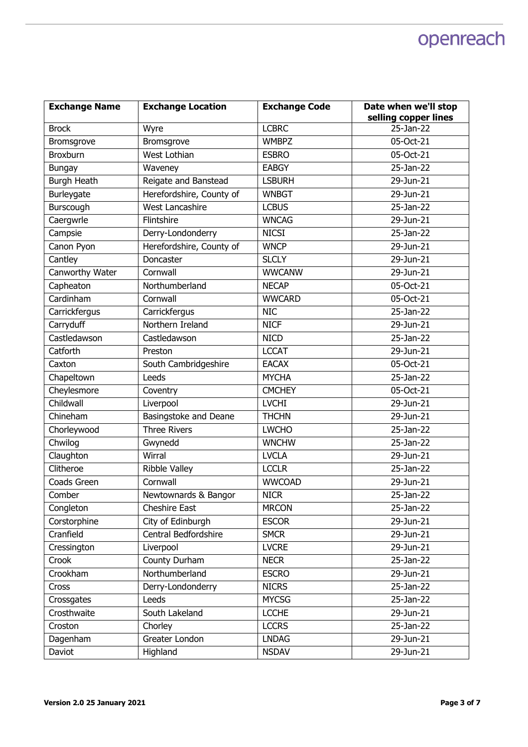| <b>Exchange Name</b> | <b>Exchange Location</b> | <b>Exchange Code</b> | Date when we'll stop |
|----------------------|--------------------------|----------------------|----------------------|
|                      |                          |                      | selling copper lines |
| <b>Brock</b>         | Wyre                     | <b>LCBRC</b>         | 25-Jan-22            |
| Bromsgrove           | Bromsgrove               | <b>WMBPZ</b>         | 05-Oct-21            |
| Broxburn             | West Lothian             | <b>ESBRO</b>         | 05-Oct-21            |
| <b>Bungay</b>        | Waveney                  | <b>EABGY</b>         | 25-Jan-22            |
| <b>Burgh Heath</b>   | Reigate and Banstead     | <b>LSBURH</b>        | 29-Jun-21            |
| Burleygate           | Herefordshire, County of | <b>WNBGT</b>         | 29-Jun-21            |
| Burscough            | <b>West Lancashire</b>   | <b>LCBUS</b>         | 25-Jan-22            |
| Caergwrle            | Flintshire               | <b>WNCAG</b>         | 29-Jun-21            |
| Campsie              | Derry-Londonderry        | <b>NICSI</b>         | 25-Jan-22            |
| Canon Pyon           | Herefordshire, County of | <b>WNCP</b>          | 29-Jun-21            |
| Cantley              | Doncaster                | <b>SLCLY</b>         | 29-Jun-21            |
| Canworthy Water      | Cornwall                 | <b>WWCANW</b>        | 29-Jun-21            |
| Capheaton            | Northumberland           | <b>NECAP</b>         | 05-Oct-21            |
| Cardinham            | Cornwall                 | <b>WWCARD</b>        | 05-Oct-21            |
| Carrickfergus        | Carrickfergus            | <b>NIC</b>           | 25-Jan-22            |
| Carryduff            | Northern Ireland         | <b>NICF</b>          | 29-Jun-21            |
| Castledawson         | Castledawson             | <b>NICD</b>          | 25-Jan-22            |
| Catforth             | Preston                  | <b>LCCAT</b>         | 29-Jun-21            |
| Caxton               | South Cambridgeshire     | <b>EACAX</b>         | 05-Oct-21            |
| Chapeltown           | Leeds                    | <b>MYCHA</b>         | 25-Jan-22            |
| Cheylesmore          | Coventry                 | <b>CMCHEY</b>        | 05-Oct-21            |
| Childwall            | Liverpool                | <b>LVCHI</b>         | 29-Jun-21            |
| Chineham             | Basingstoke and Deane    | <b>THCHN</b>         | 29-Jun-21            |
| Chorleywood          | <b>Three Rivers</b>      | <b>LWCHO</b>         | 25-Jan-22            |
| Chwilog              | Gwynedd                  | <b>WNCHW</b>         | 25-Jan-22            |
| Claughton            | Wirral                   | <b>LVCLA</b>         | 29-Jun-21            |
| Clitheroe            | Ribble Valley            | <b>LCCLR</b>         | 25-Jan-22            |
| Coads Green          | Cornwall                 | <b>WWCOAD</b>        | 29-Jun-21            |
| Comber               | Newtownards & Bangor     | <b>NICR</b>          | 25-Jan-22            |
| Congleton            | Cheshire East            | <b>MRCON</b>         | 25-Jan-22            |
| Corstorphine         | City of Edinburgh        | <b>ESCOR</b>         | 29-Jun-21            |
| Cranfield            | Central Bedfordshire     | <b>SMCR</b>          | 29-Jun-21            |
| Cressington          | Liverpool                | <b>LVCRE</b>         | 29-Jun-21            |
| Crook                | County Durham            | <b>NECR</b>          | 25-Jan-22            |
| Crookham             | Northumberland           | <b>ESCRO</b>         | 29-Jun-21            |
| Cross                | Derry-Londonderry        | <b>NICRS</b>         | 25-Jan-22            |
| Crossgates           | Leeds                    | <b>MYCSG</b>         | 25-Jan-22            |
| Crosthwaite          | South Lakeland           | <b>LCCHE</b>         | 29-Jun-21            |
| Croston              | Chorley                  | <b>LCCRS</b>         | 25-Jan-22            |
| Dagenham             | Greater London           | <b>LNDAG</b>         | 29-Jun-21            |
| Daviot               | Highland                 | <b>NSDAV</b>         | $29$ -Jun- $21$      |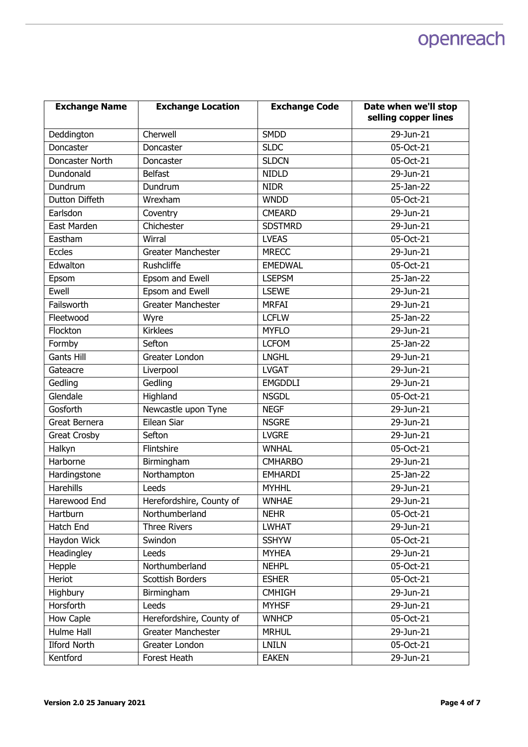| <b>Exchange Name</b> | <b>Exchange Location</b>  | <b>Exchange Code</b> | Date when we'll stop<br>selling copper lines |
|----------------------|---------------------------|----------------------|----------------------------------------------|
| Deddington           | Cherwell                  | <b>SMDD</b>          | 29-Jun-21                                    |
| Doncaster            | Doncaster                 | <b>SLDC</b>          | 05-Oct-21                                    |
| Doncaster North      | Doncaster                 | <b>SLDCN</b>         | 05-Oct-21                                    |
| Dundonald            | <b>Belfast</b>            | <b>NIDLD</b>         | 29-Jun-21                                    |
| Dundrum              | Dundrum                   | <b>NIDR</b>          | 25-Jan-22                                    |
| Dutton Diffeth       | Wrexham                   | <b>WNDD</b>          | 05-Oct-21                                    |
| Earlsdon             | Coventry                  | <b>CMEARD</b>        | 29-Jun-21                                    |
| East Marden          | Chichester                | <b>SDSTMRD</b>       | 29-Jun-21                                    |
| Eastham              | Wirral                    | <b>LVEAS</b>         | 05-Oct-21                                    |
| <b>Eccles</b>        | <b>Greater Manchester</b> | <b>MRECC</b>         | 29-Jun-21                                    |
| Edwalton             | Rushcliffe                | <b>EMEDWAL</b>       | 05-Oct-21                                    |
| Epsom                | Epsom and Ewell           | <b>LSEPSM</b>        | 25-Jan-22                                    |
| Ewell                | Epsom and Ewell           | <b>LSEWE</b>         | 29-Jun-21                                    |
| Failsworth           | <b>Greater Manchester</b> | <b>MRFAI</b>         | 29-Jun-21                                    |
| Fleetwood            | Wyre                      | <b>LCFLW</b>         | 25-Jan-22                                    |
| Flockton             | <b>Kirklees</b>           | <b>MYFLO</b>         | $29$ -Jun-21                                 |
| Formby               | Sefton                    | <b>LCFOM</b>         | 25-Jan-22                                    |
| <b>Gants Hill</b>    | Greater London            | <b>LNGHL</b>         | 29-Jun-21                                    |
| Gateacre             | Liverpool                 | <b>LVGAT</b>         | $29$ -Jun- $21$                              |
| Gedling              | Gedling                   | <b>EMGDDLI</b>       | 29-Jun-21                                    |
| Glendale             | Highland                  | <b>NSGDL</b>         | 05-Oct-21                                    |
| Gosforth             | Newcastle upon Tyne       | <b>NEGF</b>          | 29-Jun-21                                    |
| Great Bernera        | Eilean Siar               | <b>NSGRE</b>         | 29-Jun-21                                    |
| <b>Great Crosby</b>  | Sefton                    | <b>LVGRE</b>         | 29-Jun-21                                    |
| Halkyn               | Flintshire                | <b>WNHAL</b>         | 05-Oct-21                                    |
| Harborne             | Birmingham                | <b>CMHARBO</b>       | 29-Jun-21                                    |
| Hardingstone         | Northampton               | <b>EMHARDI</b>       | 25-Jan-22                                    |
| <b>Harehills</b>     | Leeds                     | <b>MYHHL</b>         | 29-Jun-21                                    |
| Harewood End         | Herefordshire, County of  | <b>WNHAE</b>         | 29-Jun-21                                    |
| Hartburn             | Northumberland            | <b>NEHR</b>          | 05-Oct-21                                    |
| Hatch End            | <b>Three Rivers</b>       | <b>LWHAT</b>         | 29-Jun-21                                    |
| Haydon Wick          | Swindon                   | <b>SSHYW</b>         | 05-Oct-21                                    |
| Headingley           | Leeds                     | <b>MYHEA</b>         | 29-Jun-21                                    |
| Hepple               | Northumberland            | <b>NEHPL</b>         | 05-Oct-21                                    |
| Heriot               | Scottish Borders          | <b>ESHER</b>         | 05-Oct-21                                    |
| Highbury             | Birmingham                | <b>CMHIGH</b>        | 29-Jun-21                                    |
| Horsforth            | Leeds                     | <b>MYHSF</b>         | 29-Jun-21                                    |
| How Caple            | Herefordshire, County of  | <b>WNHCP</b>         | 05-Oct-21                                    |
| Hulme Hall           | Greater Manchester        | <b>MRHUL</b>         | 29-Jun-21                                    |
| <b>Ilford North</b>  | Greater London            | <b>LNILN</b>         | 05-Oct-21                                    |
| Kentford             | Forest Heath              | <b>EAKEN</b>         | 29-Jun-21                                    |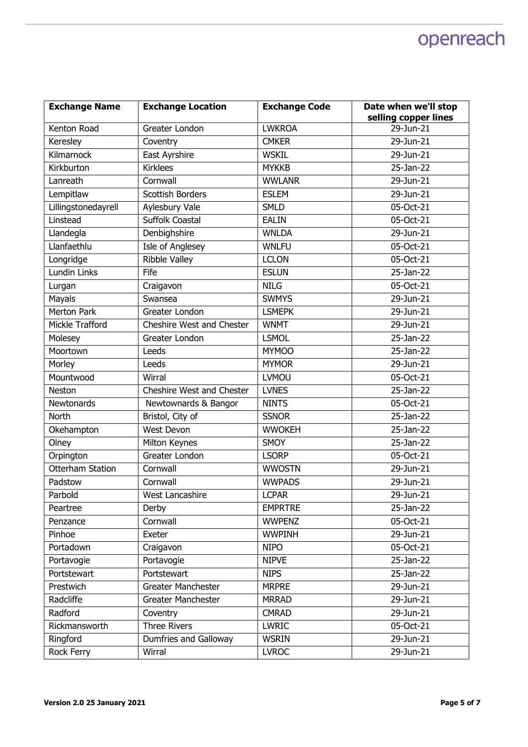| <b>Exchange Name</b>    | <b>Exchange Location</b>  | <b>Exchange Code</b> | Date when we'll stop |
|-------------------------|---------------------------|----------------------|----------------------|
|                         |                           |                      | selling copper lines |
| Kenton Road             | Greater London            | <b>LWKROA</b>        | 29-Jun-21            |
| Keresley                | Coventry                  | <b>CMKER</b>         | 29-Jun-21            |
| Kilmarnock              | East Ayrshire             | <b>WSKIL</b>         | 29-Jun-21            |
| Kirkburton              | <b>Kirklees</b>           | <b>MYKKB</b>         | 25-Jan-22            |
| Lanreath                | Cornwall                  | <b>WWLANR</b>        | 29-Jun-21            |
| Lempitlaw               | <b>Scottish Borders</b>   | <b>ESLEM</b>         | 29-Jun-21            |
| Lillingstonedayrell     | Aylesbury Vale            | <b>SMLD</b>          | 05-Oct-21            |
| Linstead                | <b>Suffolk Coastal</b>    | <b>EALIN</b>         | 05-Oct-21            |
| Llandegla               | Denbighshire              | <b>WNLDA</b>         | 29-Jun-21            |
| Llanfaethlu             | Isle of Anglesey          | <b>WNLFU</b>         | 05-Oct-21            |
| Longridge               | <b>Ribble Valley</b>      | <b>LCLON</b>         | 05-Oct-21            |
| Lundin Links            | Fife                      | <b>ESLUN</b>         | 25-Jan-22            |
| Lurgan                  | Craigavon                 | <b>NILG</b>          | 05-Oct-21            |
| Mayals                  | Swansea                   | <b>SWMYS</b>         | 29-Jun-21            |
| <b>Merton Park</b>      | Greater London            | <b>LSMEPK</b>        | 29-Jun-21            |
| Mickle Trafford         | Cheshire West and Chester | <b>WNMT</b>          | 29-Jun-21            |
| Molesey                 | Greater London            | <b>LSMOL</b>         | 25-Jan-22            |
| Moortown                | Leeds                     | <b>MYMOO</b>         | 25-Jan-22            |
| Morley                  | Leeds                     | <b>MYMOR</b>         | 29-Jun-21            |
| Mountwood               | Wirral                    | <b>LVMOU</b>         | 05-Oct-21            |
| <b>Neston</b>           | Cheshire West and Chester | <b>LVNES</b>         | 25-Jan-22            |
| Newtonards              | Newtownards & Bangor      | <b>NINTS</b>         | 05-Oct-21            |
| North                   | Bristol, City of          | <b>SSNOR</b>         | 25-Jan-22            |
| Okehampton              | West Devon                | <b>WWOKEH</b>        | 25-Jan-22            |
| Olney                   | Milton Keynes             | <b>SMOY</b>          | 25-Jan-22            |
| Orpington               | Greater London            | <b>LSORP</b>         | 05-Oct-21            |
| <b>Otterham Station</b> | Cornwall                  | <b>WWOSTN</b>        | 29-Jun-21            |
| Padstow                 | Cornwall                  | <b>WWPADS</b>        | 29-Jun-21            |
| Parbold                 | <b>West Lancashire</b>    | <b>LCPAR</b>         | 29-Jun-21            |
| Peartree                | Derby                     | <b>EMPRTRE</b>       | 25-Jan-22            |
| Penzance                | Cornwall                  | <b>WWPENZ</b>        | 05-Oct-21            |
| Pinhoe                  | Exeter                    | <b>WWPINH</b>        | 29-Jun-21            |
| Portadown               | Craigavon                 | <b>NIPO</b>          | 05-Oct-21            |
| Portavogie              | Portavogie                | <b>NIPVE</b>         | 25-Jan-22            |
| Portstewart             | Portstewart               | <b>NIPS</b>          | 25-Jan-22            |
| Prestwich               | Greater Manchester        | <b>MRPRE</b>         | 29-Jun-21            |
| Radcliffe               | <b>Greater Manchester</b> | <b>MRRAD</b>         | 29-Jun-21            |
| Radford                 | Coventry                  | <b>CMRAD</b>         | 29-Jun-21            |
| Rickmansworth           | <b>Three Rivers</b>       | LWRIC                | 05-Oct-21            |
| Ringford                | Dumfries and Galloway     | <b>WSRIN</b>         | 29-Jun-21            |
| Rock Ferry              | Wirral                    | <b>LVROC</b>         | 29-Jun-21            |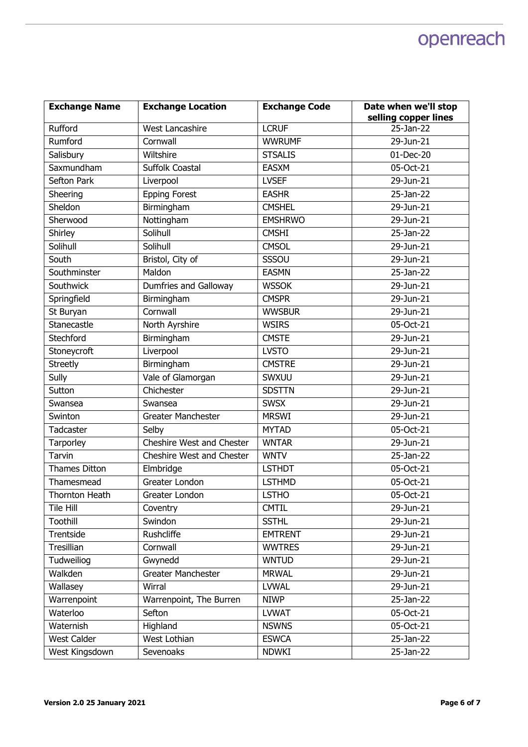| <b>Exchange Name</b> | <b>Exchange Location</b>  | <b>Exchange Code</b> | Date when we'll stop |
|----------------------|---------------------------|----------------------|----------------------|
|                      |                           |                      | selling copper lines |
| Rufford              | West Lancashire           | <b>LCRUF</b>         | 25-Jan-22            |
| Rumford              | Cornwall                  | <b>WWRUMF</b>        | 29-Jun-21            |
| Salisbury            | Wiltshire                 | <b>STSALIS</b>       | 01-Dec-20            |
| Saxmundham           | Suffolk Coastal           | <b>EASXM</b>         | 05-Oct-21            |
| Sefton Park          | Liverpool                 | <b>LVSEF</b>         | 29-Jun-21            |
| Sheering             | <b>Epping Forest</b>      | <b>EASHR</b>         | 25-Jan-22            |
| Sheldon              | Birmingham                | <b>CMSHEL</b>        | 29-Jun-21            |
| Sherwood             | Nottingham                | <b>EMSHRWO</b>       | 29-Jun-21            |
| Shirley              | Solihull                  | <b>CMSHI</b>         | 25-Jan-22            |
| Solihull             | Solihull                  | <b>CMSOL</b>         | 29-Jun-21            |
| South                | Bristol, City of          | SSSOU                | 29-Jun-21            |
| Southminster         | Maldon                    | <b>EASMN</b>         | 25-Jan-22            |
| Southwick            | Dumfries and Galloway     | <b>WSSOK</b>         | 29-Jun-21            |
| Springfield          | Birmingham                | <b>CMSPR</b>         | 29-Jun-21            |
| St Buryan            | Cornwall                  | <b>WWSBUR</b>        | 29-Jun-21            |
| Stanecastle          | North Ayrshire            | <b>WSIRS</b>         | 05-Oct-21            |
| Stechford            | Birmingham                | <b>CMSTE</b>         | 29-Jun-21            |
| Stoneycroft          | Liverpool                 | <b>LVSTO</b>         | 29-Jun-21            |
| <b>Streetly</b>      | Birmingham                | <b>CMSTRE</b>        | 29-Jun-21            |
| Sully                | Vale of Glamorgan         | SWXUU                | 29-Jun-21            |
| Sutton               | Chichester                | <b>SDSTTN</b>        | 29-Jun-21            |
| Swansea              | Swansea                   | <b>SWSX</b>          | 29-Jun-21            |
| Swinton              | Greater Manchester        | <b>MRSWI</b>         | 29-Jun-21            |
| Tadcaster            | Selby                     | <b>MYTAD</b>         | 05-Oct-21            |
| Tarporley            | Cheshire West and Chester | <b>WNTAR</b>         | 29-Jun-21            |
| Tarvin               | Cheshire West and Chester | <b>WNTV</b>          | 25-Jan-22            |
| Thames Ditton        | Elmbridge                 | <b>LSTHDT</b>        | 05-Oct-21            |
| Thamesmead           | Greater London            | <b>LSTHMD</b>        | 05-Oct-21            |
| Thornton Heath       | Greater London            | <b>LSTHO</b>         | 05-Oct-21            |
| Tile Hill            | Coventry                  | <b>CMTIL</b>         | 29-Jun-21            |
| Toothill             | Swindon                   | <b>SSTHL</b>         | 29-Jun-21            |
| Trentside            | Rushcliffe                | <b>EMTRENT</b>       | 29-Jun-21            |
| Tresillian           | Cornwall                  | <b>WWTRES</b>        | 29-Jun-21            |
| Tudweiliog           | Gwynedd                   | <b>WNTUD</b>         | 29-Jun-21            |
| Walkden              | Greater Manchester        | <b>MRWAL</b>         | 29-Jun-21            |
| Wallasey             | Wirral                    | <b>LVWAL</b>         | 29-Jun-21            |
| Warrenpoint          | Warrenpoint, The Burren   | <b>NIWP</b>          | 25-Jan-22            |
| Waterloo             | Sefton                    | <b>LVWAT</b>         | 05-Oct-21            |
| Waternish            | Highland                  | <b>NSWNS</b>         | 05-Oct-21            |
| <b>West Calder</b>   | West Lothian              | <b>ESWCA</b>         | 25-Jan-22            |
| West Kingsdown       | Sevenoaks                 | <b>NDWKI</b>         | 25-Jan-22            |